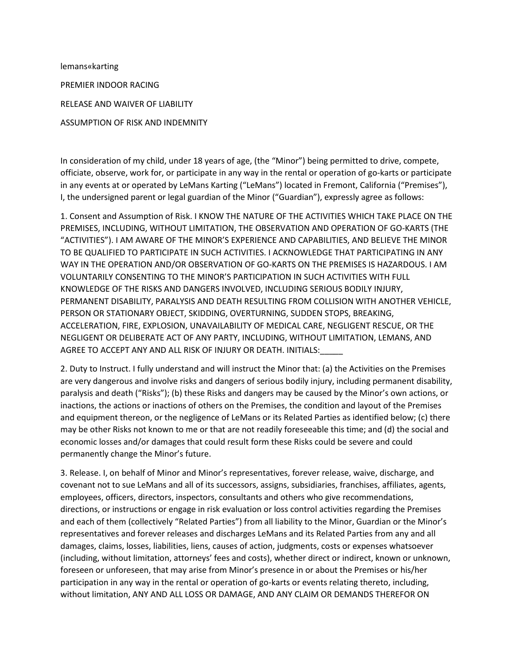lemans«karting PREMIER INDOOR RACING RELEASE AND WAIVER OF LIABILITY ASSUMPTION OF RISK AND INDEMNITY

In consideration of my child, under 18 years of age, (the "Minor") being permitted to drive, compete, officiate, observe, work for, or participate in any way in the rental or operation of go-karts or participate in any events at or operated by LeMans Karting ("LeMans") located in Fremont, California ("Premises"), I, the undersigned parent or legal guardian of the Minor ("Guardian"), expressly agree as follows:

1. Consent and Assumption of Risk. I KNOW THE NATURE OF THE ACTIVITIES WHICH TAKE PLACE ON THE PREMISES, INCLUDING, WITHOUT LIMITATION, THE OBSERVATION AND OPERATION OF GO-KARTS (THE "ACTIVITIES"). I AM AWARE OF THE MINOR'S EXPERIENCE AND CAPABILITIES, AND BELIEVE THE MINOR TO BE QUALIFIED TO PARTICIPATE IN SUCH ACTIVITIES. I ACKNOWLEDGE THAT PARTICIPATING IN ANY WAY IN THE OPERATION AND/OR OBSERVATION OF GO-KARTS ON THE PREMISES IS HAZARDOUS. I AM VOLUNTARILY CONSENTING TO THE MINOR'S PARTICIPATION IN SUCH ACTIVITIES WITH FULL KNOWLEDGE OF THE RISKS AND DANGERS INVOLVED, INCLUDING SERIOUS BODILY INJURY, PERMANENT DISABILITY, PARALYSIS AND DEATH RESULTING FROM COLLISION WITH ANOTHER VEHICLE, PERSON OR STATIONARY OBJECT, SKIDDING, OVERTURNING, SUDDEN STOPS, BREAKING, ACCELERATION, FIRE, EXPLOSION, UNAVAILABILITY OF MEDICAL CARE, NEGLIGENT RESCUE, OR THE NEGLIGENT OR DELIBERATE ACT OF ANY PARTY, INCLUDING, WITHOUT LIMITATION, LEMANS, AND AGREE TO ACCEPT ANY AND ALL RISK OF INJURY OR DEATH. INITIALS:

2. Duty to Instruct. I fully understand and will instruct the Minor that: (a) the Activities on the Premises are very dangerous and involve risks and dangers of serious bodily injury, including permanent disability, paralysis and death ("Risks"); (b) these Risks and dangers may be caused by the Minor's own actions, or inactions, the actions or inactions of others on the Premises, the condition and layout of the Premises and equipment thereon, or the negligence of LeMans or its Related Parties as identified below; (c) there may be other Risks not known to me or that are not readily foreseeable this time; and (d) the social and economic losses and/or damages that could result form these Risks could be severe and could permanently change the Minor's future.

3. Release. I, on behalf of Minor and Minor's representatives, forever release, waive, discharge, and covenant not to sue LeMans and all of its successors, assigns, subsidiaries, franchises, affiliates, agents, employees, officers, directors, inspectors, consultants and others who give recommendations, directions, or instructions or engage in risk evaluation or loss control activities regarding the Premises and each of them (collectively "Related Parties") from all liability to the Minor, Guardian or the Minor's representatives and forever releases and discharges LeMans and its Related Parties from any and all damages, claims, losses, liabilities, liens, causes of action, judgments, costs or expenses whatsoever (including, without limitation, attorneys' fees and costs), whether direct or indirect, known or unknown, foreseen or unforeseen, that may arise from Minor's presence in or about the Premises or his/her participation in any way in the rental or operation of go-karts or events relating thereto, including, without limitation, ANY AND ALL LOSS OR DAMAGE, AND ANY CLAIM OR DEMANDS THEREFOR ON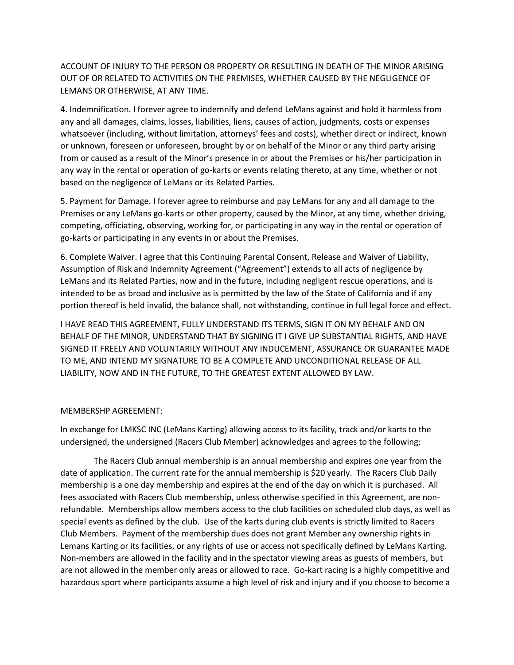ACCOUNT OF INJURY TO THE PERSON OR PROPERTY OR RESULTING IN DEATH OF THE MINOR ARISING OUT OF OR RELATED TO ACTIVITIES ON THE PREMISES, WHETHER CAUSED BY THE NEGLIGENCE OF LEMANS OR OTHERWISE, AT ANY TIME.

4. Indemnification. I forever agree to indemnify and defend LeMans against and hold it harmless from any and all damages, claims, losses, liabilities, liens, causes of action, judgments, costs or expenses whatsoever (including, without limitation, attorneys' fees and costs), whether direct or indirect, known or unknown, foreseen or unforeseen, brought by or on behalf of the Minor or any third party arising from or caused as a result of the Minor's presence in or about the Premises or his/her participation in any way in the rental or operation of go-karts or events relating thereto, at any time, whether or not based on the negligence of LeMans or its Related Parties.

5. Payment for Damage. I forever agree to reimburse and pay LeMans for any and all damage to the Premises or any LeMans go-karts or other property, caused by the Minor, at any time, whether driving, competing, officiating, observing, working for, or participating in any way in the rental or operation of go-karts or participating in any events in or about the Premises.

6. Complete Waiver. I agree that this Continuing Parental Consent, Release and Waiver of Liability, Assumption of Risk and Indemnity Agreement ("Agreement") extends to all acts of negligence by LeMans and its Related Parties, now and in the future, including negligent rescue operations, and is intended to be as broad and inclusive as is permitted by the law of the State of California and if any portion thereof is held invalid, the balance shall, not withstanding, continue in full legal force and effect.

I HAVE READ THIS AGREEMENT, FULLY UNDERSTAND ITS TERMS, SIGN IT ON MY BEHALF AND ON BEHALF OF THE MINOR, UNDERSTAND THAT BY SIGNING IT I GIVE UP SUBSTANTIAL RIGHTS, AND HAVE SIGNED IT FREELY AND VOLUNTARILY WITHOUT ANY INDUCEMENT, ASSURANCE OR GUARANTEE MADE TO ME, AND INTEND MY SIGNATURE TO BE A COMPLETE AND UNCONDITIONAL RELEASE OF ALL LIABILITY, NOW AND IN THE FUTURE, TO THE GREATEST EXTENT ALLOWED BY LAW.

## MEMBERSHP AGREEMENT:

In exchange for LMKSC INC (LeMans Karting) allowing access to its facility, track and/or karts to the undersigned, the undersigned (Racers Club Member) acknowledges and agrees to the following:

 The Racers Club annual membership is an annual membership and expires one year from the date of application. The current rate for the annual membership is \$20 yearly. The Racers Club Daily membership is a one day membership and expires at the end of the day on which it is purchased. All fees associated with Racers Club membership, unless otherwise specified in this Agreement, are nonrefundable. Memberships allow members access to the club facilities on scheduled club days, as well as special events as defined by the club. Use of the karts during club events is strictly limited to Racers Club Members. Payment of the membership dues does not grant Member any ownership rights in Lemans Karting or its facilities, or any rights of use or access not specifically defined by LeMans Karting. Non-members are allowed in the facility and in the spectator viewing areas as guests of members, but are not allowed in the member only areas or allowed to race. Go-kart racing is a highly competitive and hazardous sport where participants assume a high level of risk and injury and if you choose to become a